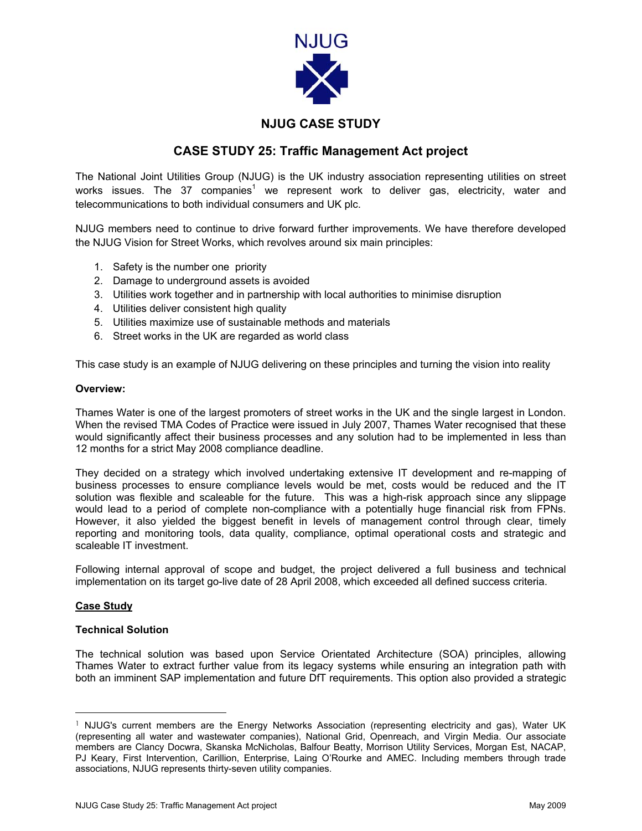

# **NJUG CASE STUDY**

## **CASE STUDY 25: Traffic Management Act project**

The National Joint Utilities Group (NJUG) is the UK industry association representing utilities on street works issues. The 37 companies<sup>[1](#page-0-0)</sup> we represent work to deliver gas, electricity, water and telecommunications to both individual consumers and UK plc.

NJUG members need to continue to drive forward further improvements. We have therefore developed the NJUG Vision for Street Works, which revolves around six main principles:

- 1. Safety is the number one priority
- 2. Damage to underground assets is avoided
- 3. Utilities work together and in partnership with local authorities to minimise disruption
- 4. Utilities deliver consistent high quality
- 5. Utilities maximize use of sustainable methods and materials
- 6. Street works in the UK are regarded as world class

This case study is an example of NJUG delivering on these principles and turning the vision into reality

## **Overview:**

Thames Water is one of the largest promoters of street works in the UK and the single largest in London. When the revised TMA Codes of Practice were issued in July 2007, Thames Water recognised that these would significantly affect their business processes and any solution had to be implemented in less than 12 months for a strict May 2008 compliance deadline.

They decided on a strategy which involved undertaking extensive IT development and re-mapping of business processes to ensure compliance levels would be met, costs would be reduced and the IT solution was flexible and scaleable for the future. This was a high-risk approach since any slippage would lead to a period of complete non-compliance with a potentially huge financial risk from FPNs. However, it also yielded the biggest benefit in levels of management control through clear, timely reporting and monitoring tools, data quality, compliance, optimal operational costs and strategic and scaleable IT investment.

Following internal approval of scope and budget, the project delivered a full business and technical implementation on its target go-live date of 28 April 2008, which exceeded all defined success criteria.

## **Case Study**

## **Technical Solution**

The technical solution was based upon Service Orientated Architecture (SOA) principles, allowing Thames Water to extract further value from its legacy systems while ensuring an integration path with both an imminent SAP implementation and future DfT requirements. This option also provided a strategic

<span id="page-0-0"></span><sup>&</sup>lt;sup>1</sup> NJUG's current members are the Energy Networks Association (representing electricity and gas), Water UK (representing all water and wastewater companies), National Grid, Openreach, and Virgin Media. Our associate members are Clancy Docwra, Skanska McNicholas, Balfour Beatty, Morrison Utility Services, Morgan Est, NACAP, PJ Keary, First Intervention, Carillion, Enterprise, Laing O'Rourke and AMEC. Including members through trade associations, NJUG represents thirty-seven utility companies.